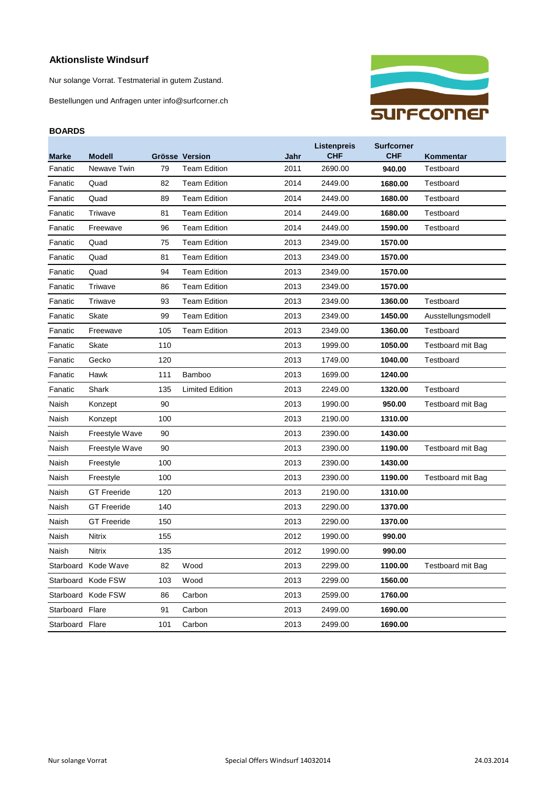## **Aktionsliste Windsurf**

Nur solange Vorrat. Testmaterial in gutem Zustand.

Bestellungen und Anfragen unter info@surfcorner.ch

## **BOARDS**



| <b>Marke</b>    | <b>Modell</b>       |     | Grösse Version         | Jahr | Listenpreis<br><b>CHF</b> | <b>Surfcorner</b><br><b>CHF</b> | Kommentar                |
|-----------------|---------------------|-----|------------------------|------|---------------------------|---------------------------------|--------------------------|
| Fanatic         | Newave Twin         | 79  | <b>Team Edition</b>    | 2011 | 2690.00                   | 940.00                          | Testboard                |
| Fanatic         | Quad                | 82  | <b>Team Edition</b>    | 2014 | 2449.00                   | 1680.00                         | Testboard                |
| Fanatic         | Quad                | 89  | <b>Team Edition</b>    | 2014 | 2449.00                   | 1680.00                         | Testboard                |
| Fanatic         | Triwave             | 81  | <b>Team Edition</b>    | 2014 | 2449.00                   | 1680.00                         | Testboard                |
| Fanatic         | Freewave            | 96  | <b>Team Edition</b>    | 2014 | 2449.00                   | 1590.00                         | Testboard                |
| Fanatic         | Quad                | 75  | <b>Team Edition</b>    | 2013 | 2349.00                   | 1570.00                         |                          |
| Fanatic         | Quad                | 81  | <b>Team Edition</b>    | 2013 | 2349.00                   | 1570.00                         |                          |
| Fanatic         | Quad                | 94  | <b>Team Edition</b>    | 2013 | 2349.00                   | 1570.00                         |                          |
| Fanatic         | Triwave             | 86  | <b>Team Edition</b>    | 2013 | 2349.00                   | 1570.00                         |                          |
| Fanatic         | Triwave             | 93  | <b>Team Edition</b>    | 2013 | 2349.00                   | 1360.00                         | Testboard                |
| Fanatic         | Skate               | 99  | <b>Team Edition</b>    | 2013 | 2349.00                   | 1450.00                         | Ausstellungsmodell       |
| Fanatic         | Freewave            | 105 | <b>Team Edition</b>    | 2013 | 2349.00                   | 1360.00                         | Testboard                |
| Fanatic         | Skate               | 110 |                        | 2013 | 1999.00                   | 1050.00                         | Testboard mit Bag        |
| Fanatic         | Gecko               | 120 |                        | 2013 | 1749.00                   | 1040.00                         | Testboard                |
| Fanatic         | Hawk                | 111 | Bamboo                 | 2013 | 1699.00                   | 1240.00                         |                          |
| Fanatic         | Shark               | 135 | <b>Limited Edition</b> | 2013 | 2249.00                   | 1320.00                         | Testboard                |
| Naish           | Konzept             | 90  |                        | 2013 | 1990.00                   | 950.00                          | <b>Testboard mit Bag</b> |
| Naish           | Konzept             | 100 |                        | 2013 | 2190.00                   | 1310.00                         |                          |
| Naish           | Freestyle Wave      | 90  |                        | 2013 | 2390.00                   | 1430.00                         |                          |
| Naish           | Freestyle Wave      | 90  |                        | 2013 | 2390.00                   | 1190.00                         | <b>Testboard mit Bag</b> |
| Naish           | Freestyle           | 100 |                        | 2013 | 2390.00                   | 1430.00                         |                          |
| Naish           | Freestyle           | 100 |                        | 2013 | 2390.00                   | 1190.00                         | <b>Testboard mit Bag</b> |
| Naish           | <b>GT</b> Freeride  | 120 |                        | 2013 | 2190.00                   | 1310.00                         |                          |
| Naish           | <b>GT Freeride</b>  | 140 |                        | 2013 | 2290.00                   | 1370.00                         |                          |
| Naish           | <b>GT Freeride</b>  | 150 |                        | 2013 | 2290.00                   | 1370.00                         |                          |
| Naish           | Nitrix              | 155 |                        | 2012 | 1990.00                   | 990.00                          |                          |
| Naish           | <b>Nitrix</b>       | 135 |                        | 2012 | 1990.00                   | 990.00                          |                          |
|                 | Starboard Kode Wave | 82  | Wood                   | 2013 | 2299.00                   | 1100.00                         | <b>Testboard mit Bag</b> |
|                 | Starboard Kode FSW  | 103 | Wood                   | 2013 | 2299.00                   | 1560.00                         |                          |
|                 | Starboard Kode FSW  | 86  | Carbon                 | 2013 | 2599.00                   | 1760.00                         |                          |
| Starboard       | Flare               | 91  | Carbon                 | 2013 | 2499.00                   | 1690.00                         |                          |
| Starboard Flare |                     | 101 | Carbon                 | 2013 | 2499.00                   | 1690.00                         |                          |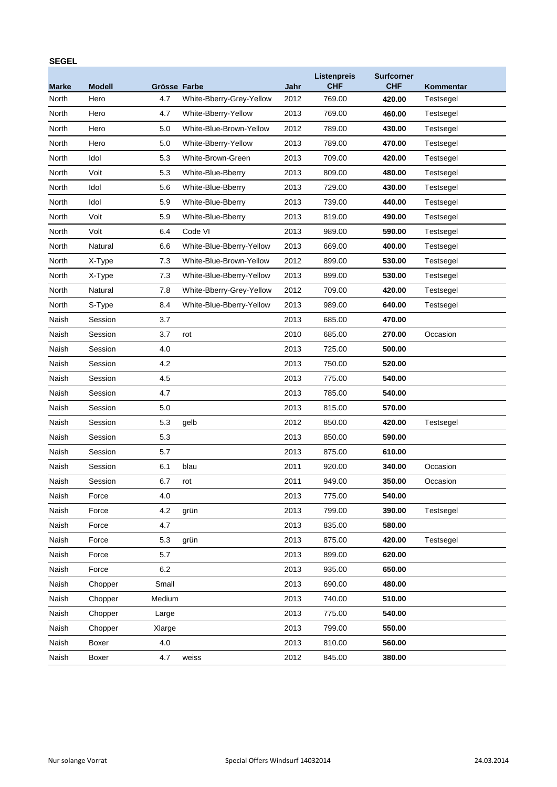## **SEGEL**

| <b>Marke</b> | <b>Modell</b> | Grösse Farbe |                          | Jahr | Listenpreis<br><b>CHF</b> | <b>Surfcorner</b><br><b>CHF</b> | Kommentar |
|--------------|---------------|--------------|--------------------------|------|---------------------------|---------------------------------|-----------|
| North        | Hero          | 4.7          | White-Bberry-Grey-Yellow | 2012 | 769.00                    | 420.00                          | Testsegel |
| North        | Hero          | 4.7          | White-Bberry-Yellow      | 2013 | 769.00                    | 460.00                          | Testsegel |
| North        | Hero          | 5.0          | White-Blue-Brown-Yellow  | 2012 | 789.00                    | 430.00                          | Testsegel |
| North        | Hero          | 5.0          | White-Bberry-Yellow      | 2013 | 789.00                    | 470.00                          | Testsegel |
| North        | Idol          | 5.3          | White-Brown-Green        | 2013 | 709.00                    | 420.00                          | Testsegel |
| North        | Volt          | 5.3          | White-Blue-Bberry        | 2013 | 809.00                    | 480.00                          | Testsegel |
| North        | Idol          | 5.6          | White-Blue-Bberry        | 2013 | 729.00                    | 430.00                          | Testsegel |
| North        | Idol          | 5.9          | White-Blue-Bberry        | 2013 | 739.00                    | 440.00                          | Testsegel |
| North        | Volt          | 5.9          | White-Blue-Bberry        | 2013 | 819.00                    | 490.00                          | Testsegel |
| North        | Volt          | 6.4          | Code VI                  | 2013 | 989.00                    | 590.00                          | Testsegel |
| North        | Natural       | 6.6          | White-Blue-Bberry-Yellow | 2013 | 669.00                    | 400.00                          | Testsegel |
| North        | X-Type        | 7.3          | White-Blue-Brown-Yellow  | 2012 | 899.00                    | 530.00                          | Testsegel |
| North        | X-Type        | 7.3          | White-Blue-Bberry-Yellow | 2013 | 899.00                    | 530.00                          | Testsegel |
| North        | Natural       | 7.8          | White-Bberry-Grey-Yellow | 2012 | 709.00                    | 420.00                          | Testsegel |
| North        | S-Type        | 8.4          | White-Blue-Bberry-Yellow | 2013 | 989.00                    | 640.00                          | Testsegel |
| Naish        | Session       | 3.7          |                          | 2013 | 685.00                    | 470.00                          |           |
| Naish        | Session       | 3.7          | rot                      | 2010 | 685.00                    | 270.00                          | Occasion  |
| Naish        | Session       | 4.0          |                          | 2013 | 725.00                    | 500.00                          |           |
| Naish        | Session       | 4.2          |                          | 2013 | 750.00                    | 520.00                          |           |
| Naish        | Session       | 4.5          |                          | 2013 | 775.00                    | 540.00                          |           |
| Naish        | Session       | 4.7          |                          | 2013 | 785.00                    | 540.00                          |           |
| Naish        | Session       | 5.0          |                          | 2013 | 815.00                    | 570.00                          |           |
| Naish        | Session       | 5.3          | gelb                     | 2012 | 850.00                    | 420.00                          | Testsegel |
| Naish        | Session       | 5.3          |                          | 2013 | 850.00                    | 590.00                          |           |
| Naish        | Session       | 5.7          |                          | 2013 | 875.00                    | 610.00                          |           |
| Naish        | Session       | 6.1          | blau                     | 2011 | 920.00                    | 340.00                          | Occasion  |
| Naish        | Session       | 6.7          | rot                      | 2011 | 949.00                    | 350.00                          | Occasion  |
| Naish        | Force         | 4.0          |                          | 2013 | 775.00                    | 540.00                          |           |
| Naish        | Force         | 4.2          | grün                     | 2013 | 799.00                    | 390.00                          | Testsegel |
| Naish        | Force         | 4.7          |                          | 2013 | 835.00                    | 580.00                          |           |
| Naish        | Force         | 5.3          | grün                     | 2013 | 875.00                    | 420.00                          | Testsegel |
| Naish        | Force         | 5.7          |                          | 2013 | 899.00                    | 620.00                          |           |
| Naish        | Force         | 6.2          |                          | 2013 | 935.00                    | 650.00                          |           |
| Naish        | Chopper       | Small        |                          | 2013 | 690.00                    | 480.00                          |           |
| Naish        | Chopper       | Medium       |                          | 2013 | 740.00                    | 510.00                          |           |
| Naish        | Chopper       | Large        |                          | 2013 | 775.00                    | 540.00                          |           |
| Naish        | Chopper       | Xlarge       |                          | 2013 | 799.00                    | 550.00                          |           |
| Naish        | Boxer         | 4.0          |                          | 2013 | 810.00                    | 560.00                          |           |
| Naish        | Boxer         | 4.7          | weiss                    | 2012 | 845.00                    | 380.00                          |           |